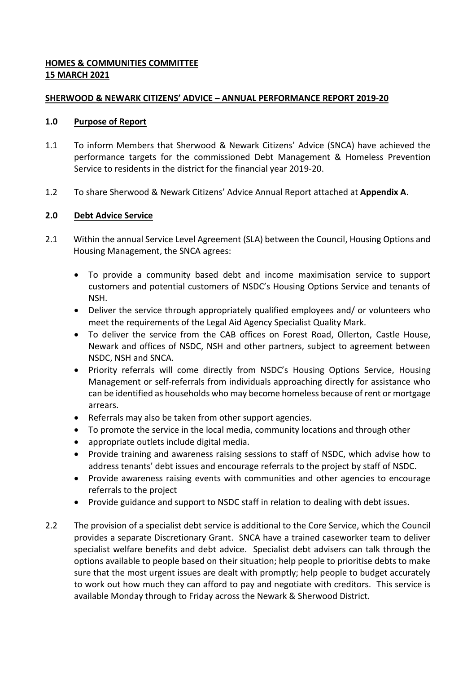## **HOMES & COMMUNITIES COMMITTEE 15 MARCH 2021**

### **SHERWOOD & NEWARK CITIZENS' ADVICE – ANNUAL PERFORMANCE REPORT 2019-20**

#### **1.0 Purpose of Report**

- 1.1 To inform Members that Sherwood & Newark Citizens' Advice (SNCA) have achieved the performance targets for the commissioned Debt Management & Homeless Prevention Service to residents in the district for the financial year 2019-20.
- 1.2 To share Sherwood & Newark Citizens' Advice Annual Report attached at **Appendix A**.

## **2.0 Debt Advice Service**

- 2.1 Within the annual Service Level Agreement (SLA) between the Council, Housing Options and Housing Management, the SNCA agrees:
	- To provide a community based debt and income maximisation service to support customers and potential customers of NSDC's Housing Options Service and tenants of NSH.
	- Deliver the service through appropriately qualified employees and/ or volunteers who meet the requirements of the Legal Aid Agency Specialist Quality Mark.
	- To deliver the service from the CAB offices on Forest Road, Ollerton, Castle House, Newark and offices of NSDC, NSH and other partners, subject to agreement between NSDC, NSH and SNCA.
	- Priority referrals will come directly from NSDC's Housing Options Service, Housing Management or self-referrals from individuals approaching directly for assistance who can be identified as households who may become homeless because of rent or mortgage arrears.
	- Referrals may also be taken from other support agencies.
	- To promote the service in the local media, community locations and through other
	- appropriate outlets include digital media.
	- Provide training and awareness raising sessions to staff of NSDC, which advise how to address tenants' debt issues and encourage referrals to the project by staff of NSDC.
	- Provide awareness raising events with communities and other agencies to encourage referrals to the project
	- Provide guidance and support to NSDC staff in relation to dealing with debt issues.
- 2.2 The provision of a specialist debt service is additional to the Core Service, which the Council provides a separate Discretionary Grant. SNCA have a trained caseworker team to deliver specialist welfare benefits and debt advice. Specialist debt advisers can talk through the options available to people based on their situation; help people to prioritise debts to make sure that the most urgent issues are dealt with promptly; help people to budget accurately to work out how much they can afford to pay and negotiate with creditors. This service is available Monday through to Friday across the Newark & Sherwood District.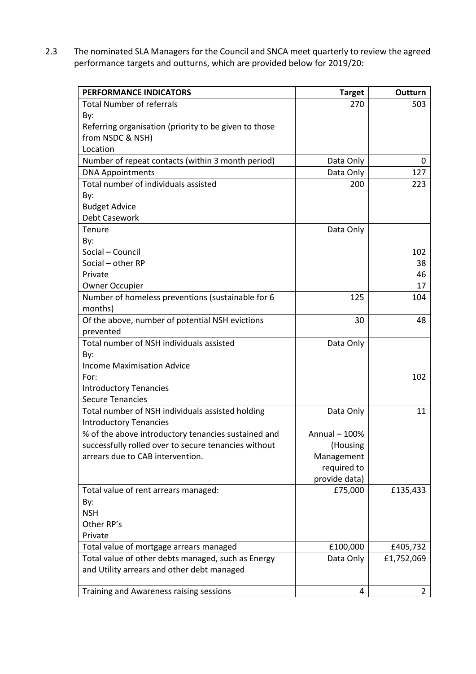2.3 The nominated SLA Managers for the Council and SNCA meet quarterly to review the agreed performance targets and outturns, which are provided below for 2019/20:

| PERFORMANCE INDICATORS                                | <b>Target</b> | Outturn        |
|-------------------------------------------------------|---------------|----------------|
| <b>Total Number of referrals</b>                      | 270           | 503            |
| By:                                                   |               |                |
| Referring organisation (priority to be given to those |               |                |
| from NSDC & NSH)                                      |               |                |
| Location                                              |               |                |
| Number of repeat contacts (within 3 month period)     | Data Only     | 0              |
| <b>DNA Appointments</b>                               | Data Only     | 127            |
| Total number of individuals assisted                  | 200           | 223            |
| By:                                                   |               |                |
| <b>Budget Advice</b>                                  |               |                |
| Debt Casework                                         |               |                |
| Tenure                                                | Data Only     |                |
| By:                                                   |               |                |
| Social - Council                                      |               | 102            |
| Social - other RP                                     |               | 38             |
| Private                                               |               | 46             |
| <b>Owner Occupier</b>                                 |               | 17             |
| Number of homeless preventions (sustainable for 6     | 125           | 104            |
| months)                                               |               |                |
| Of the above, number of potential NSH evictions       | 30            | 48             |
| prevented                                             |               |                |
| Total number of NSH individuals assisted              | Data Only     |                |
| By:                                                   |               |                |
| <b>Income Maximisation Advice</b>                     |               |                |
| For:                                                  |               | 102            |
| <b>Introductory Tenancies</b>                         |               |                |
| <b>Secure Tenancies</b>                               |               |                |
| Total number of NSH individuals assisted holding      | Data Only     | 11             |
| <b>Introductory Tenancies</b>                         |               |                |
| % of the above introductory tenancies sustained and   | Annual - 100% |                |
| successfully rolled over to secure tenancies without  | (Housing      |                |
| arrears due to CAB intervention.                      | Management    |                |
|                                                       | required to   |                |
|                                                       | provide data) |                |
| Total value of rent arrears managed:                  | £75,000       | £135,433       |
| By:                                                   |               |                |
| <b>NSH</b>                                            |               |                |
| Other RP's                                            |               |                |
| Private                                               |               |                |
| Total value of mortgage arrears managed               | £100,000      | £405,732       |
| Total value of other debts managed, such as Energy    | Data Only     | £1,752,069     |
| and Utility arrears and other debt managed            |               |                |
|                                                       | 4             |                |
| Training and Awareness raising sessions               |               | $\overline{2}$ |